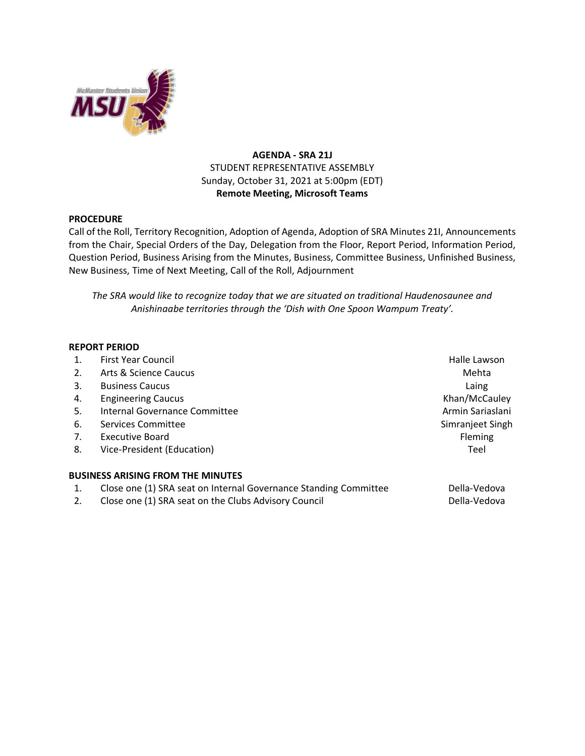

## **AGENDA - SRA 21J** STUDENT REPRESENTATIVE ASSEMBLY Sunday, October 31, 2021 at 5:00pm (EDT) **Remote Meeting, Microsoft Teams**

## **PROCEDURE**

Call of the Roll, Territory Recognition, Adoption of Agenda, Adoption of SRA Minutes 21I, Announcements from the Chair, Special Orders of the Day, Delegation from the Floor, Report Period, Information Period, Question Period, Business Arising from the Minutes, Business, Committee Business, Unfinished Business, New Business, Time of Next Meeting, Call of the Roll, Adjournment

*The SRA would like to recognize today that we are situated on traditional Haudenosaunee and Anishinaabe territories through the 'Dish with One Spoon Wampum Treaty'.*

## **REPORT PERIOD**

| 1. | <b>First Year Council</b>                                        | Halle Lawson     |
|----|------------------------------------------------------------------|------------------|
| 2. | Arts & Science Caucus                                            | Mehta            |
| 3. | <b>Business Caucus</b>                                           | Laing            |
| 4. | <b>Engineering Caucus</b>                                        | Khan/McCauley    |
| 5. | Internal Governance Committee                                    | Armin Sariaslani |
| 6. | Services Committee                                               | Simranjeet Singh |
| 7. | Executive Board                                                  | Fleming          |
| 8. | Vice-President (Education)                                       | Teel             |
|    | <b>BUSINESS ARISING FROM THE MINUTES</b>                         |                  |
| 1. | Close one (1) SRA seat on Internal Governance Standing Committee | Della-Vedova     |
| 2. | Close one (1) SRA seat on the Clubs Advisory Council             | Della-Vedova     |